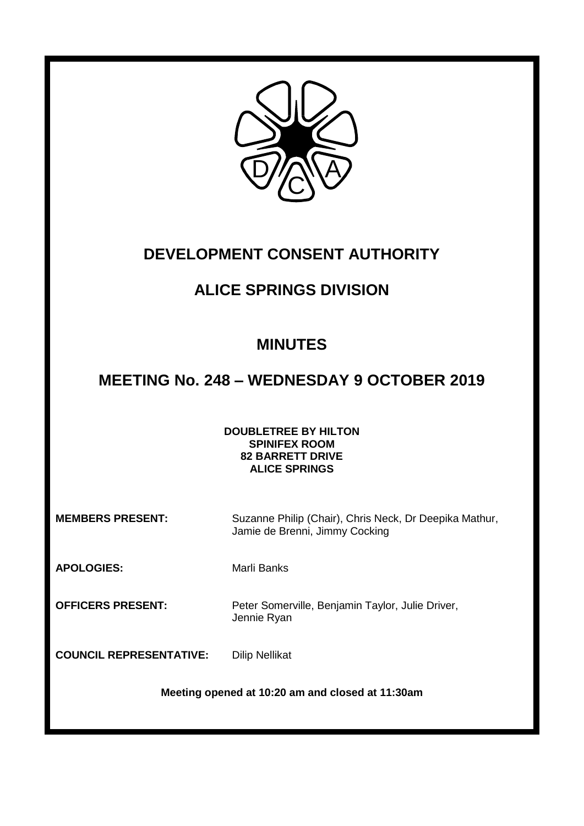

# **DEVELOPMENT CONSENT AUTHORITY**

# **ALICE SPRINGS DIVISION**

# **MINUTES**

# **MEETING No. 248 – WEDNESDAY 9 OCTOBER 2019**

# **DOUBLETREE BY HILTON SPINIFEX ROOM 82 BARRETT DRIVE ALICE SPRINGS**

**MEMBERS PRESENT:** Suzanne Philip (Chair), Chris Neck, Dr Deepika Mathur, Jamie de Brenni, Jimmy Cocking

APOLOGIES: Marli Banks

**OFFICERS PRESENT:** Peter Somerville, Benjamin Taylor, Julie Driver,

Jennie Ryan

**COUNCIL REPRESENTATIVE:** Dilip Nellikat

**Meeting opened at 10:20 am and closed at 11:30am**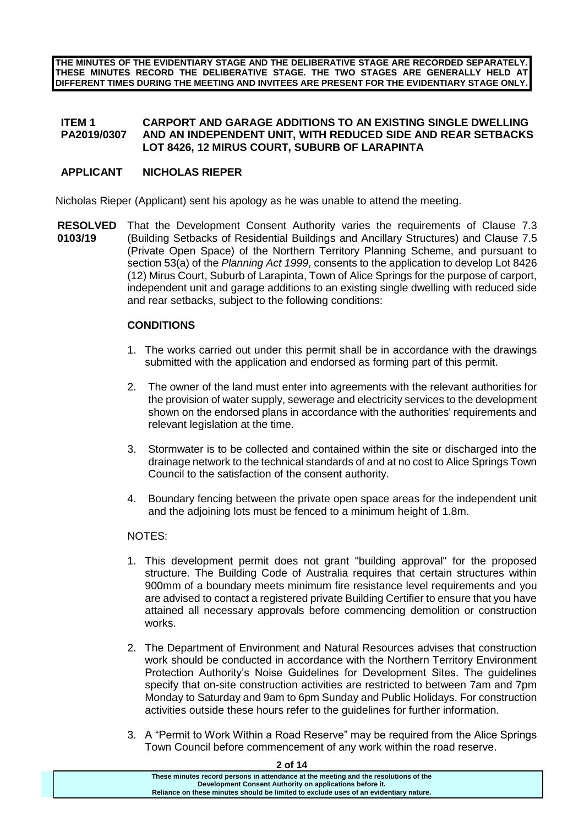**THE MINUTES OF THE EVIDENTIARY STAGE AND THE DELIBERATIVE STAGE ARE RECORDED SEPARATELY. THESE MINUTES RECORD THE DELIBERATIVE STAGE. THE TWO STAGES ARE GENERALLY HELD AT DIFFERENT TIMES DURING THE MEETING AND INVITEES ARE PRESENT FOR THE EVIDENTIARY STAGE ONLY.**

#### **ITEM 1 PA2019/0307 CARPORT AND GARAGE ADDITIONS TO AN EXISTING SINGLE DWELLING AND AN INDEPENDENT UNIT, WITH REDUCED SIDE AND REAR SETBACKS LOT 8426, 12 MIRUS COURT, SUBURB OF LARAPINTA**

# **APPLICANT NICHOLAS RIEPER**

Nicholas Rieper (Applicant) sent his apology as he was unable to attend the meeting.

**RESOLVED** That the Development Consent Authority varies the requirements of Clause 7.3 **0103/19** (Building Setbacks of Residential Buildings and Ancillary Structures) and Clause 7.5 (Private Open Space) of the Northern Territory Planning Scheme, and pursuant to section 53(a) of the *Planning Act 1999*, consents to the application to develop Lot 8426 (12) Mirus Court, Suburb of Larapinta, Town of Alice Springs for the purpose of carport, independent unit and garage additions to an existing single dwelling with reduced side and rear setbacks, subject to the following conditions:

# **CONDITIONS**

- 1. The works carried out under this permit shall be in accordance with the drawings submitted with the application and endorsed as forming part of this permit.
- 2. The owner of the land must enter into agreements with the relevant authorities for the provision of water supply, sewerage and electricity services to the development shown on the endorsed plans in accordance with the authorities' requirements and relevant legislation at the time.
- 3. Stormwater is to be collected and contained within the site or discharged into the drainage network to the technical standards of and at no cost to Alice Springs Town Council to the satisfaction of the consent authority.
- 4. Boundary fencing between the private open space areas for the independent unit and the adjoining lots must be fenced to a minimum height of 1.8m.

# NOTES:

- 1. This development permit does not grant "building approval" for the proposed structure. The Building Code of Australia requires that certain structures within 900mm of a boundary meets minimum fire resistance level requirements and you are advised to contact a registered private Building Certifier to ensure that you have attained all necessary approvals before commencing demolition or construction works.
- 2. The Department of Environment and Natural Resources advises that construction work should be conducted in accordance with the Northern Territory Environment Protection Authority's Noise Guidelines for Development Sites. The guidelines specify that on-site construction activities are restricted to between 7am and 7pm Monday to Saturday and 9am to 6pm Sunday and Public Holidays. For construction activities outside these hours refer to the guidelines for further information.
- 3. A "Permit to Work Within a Road Reserve" may be required from the Alice Springs Town Council before commencement of any work within the road reserve.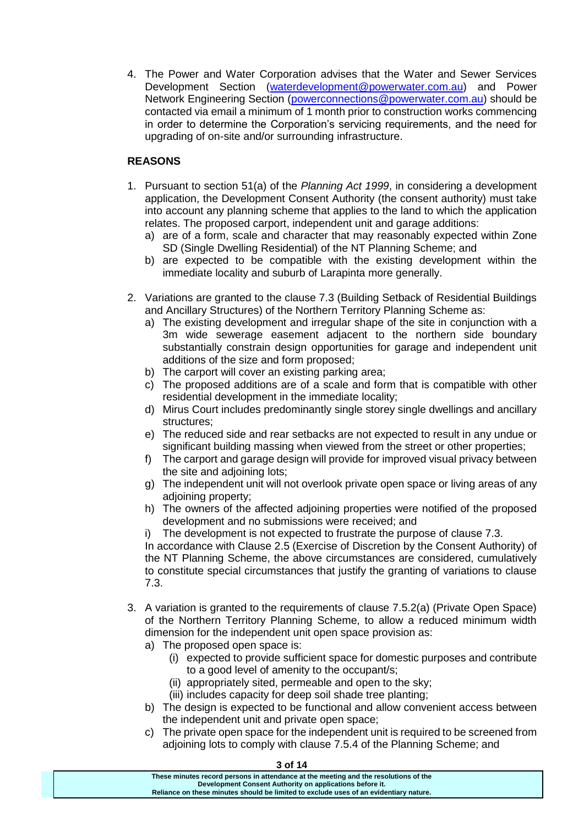4. The Power and Water Corporation advises that the Water and Sewer Services Development Section [\(waterdevelopment@powerwater.com.au\)](mailto:waterdevelopment@powerwater.com.au) and Power Network Engineering Section [\(powerconnections@powerwater.com.au\)](mailto:powerconnections@powerwater.com.au) should be contacted via email a minimum of 1 month prior to construction works commencing in order to determine the Corporation's servicing requirements, and the need for upgrading of on-site and/or surrounding infrastructure.

# **REASONS**

- 1. Pursuant to section 51(a) of the *Planning Act 1999*, in considering a development application, the Development Consent Authority (the consent authority) must take into account any planning scheme that applies to the land to which the application relates. The proposed carport, independent unit and garage additions:
	- a) are of a form, scale and character that may reasonably expected within Zone SD (Single Dwelling Residential) of the NT Planning Scheme; and
	- b) are expected to be compatible with the existing development within the immediate locality and suburb of Larapinta more generally.
- 2. Variations are granted to the clause 7.3 (Building Setback of Residential Buildings and Ancillary Structures) of the Northern Territory Planning Scheme as:
	- a) The existing development and irregular shape of the site in conjunction with a 3m wide sewerage easement adjacent to the northern side boundary substantially constrain design opportunities for garage and independent unit additions of the size and form proposed;
	- b) The carport will cover an existing parking area;
	- c) The proposed additions are of a scale and form that is compatible with other residential development in the immediate locality;
	- d) Mirus Court includes predominantly single storey single dwellings and ancillary structures;
	- e) The reduced side and rear setbacks are not expected to result in any undue or significant building massing when viewed from the street or other properties;
	- f) The carport and garage design will provide for improved visual privacy between the site and adjoining lots;
	- g) The independent unit will not overlook private open space or living areas of any adjoining property;
	- h) The owners of the affected adjoining properties were notified of the proposed development and no submissions were received; and
	- i) The development is not expected to frustrate the purpose of clause 7.3.

In accordance with Clause 2.5 (Exercise of Discretion by the Consent Authority) of the NT Planning Scheme, the above circumstances are considered, cumulatively to constitute special circumstances that justify the granting of variations to clause 7.3.

- 3. A variation is granted to the requirements of clause 7.5.2(a) (Private Open Space) of the Northern Territory Planning Scheme, to allow a reduced minimum width dimension for the independent unit open space provision as:
	- a) The proposed open space is:
		- (i) expected to provide sufficient space for domestic purposes and contribute to a good level of amenity to the occupant/s;
		- (ii) appropriately sited, permeable and open to the sky;
		- (iii) includes capacity for deep soil shade tree planting;
	- b) The design is expected to be functional and allow convenient access between the independent unit and private open space;
	- c) The private open space for the independent unit is required to be screened from adjoining lots to comply with clause 7.5.4 of the Planning Scheme; and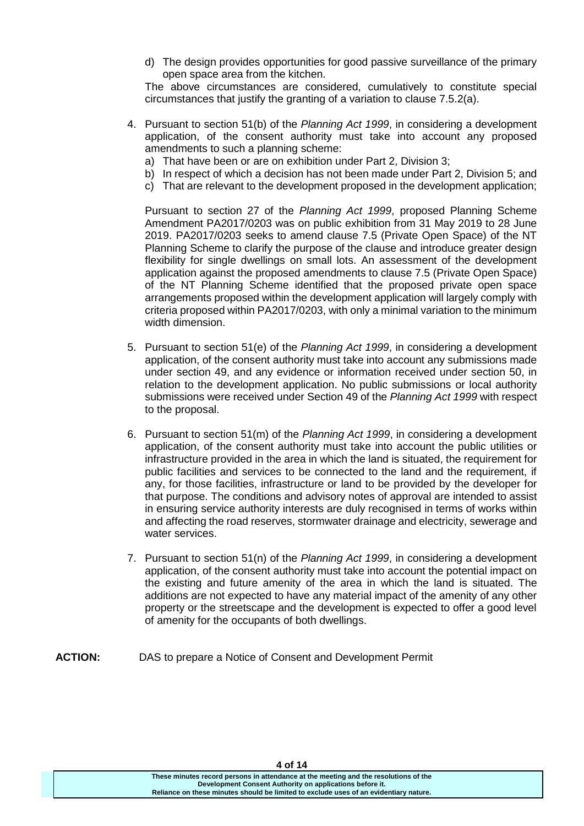d) The design provides opportunities for good passive surveillance of the primary open space area from the kitchen.

The above circumstances are considered, cumulatively to constitute special circumstances that justify the granting of a variation to clause 7.5.2(a).

- 4. Pursuant to section 51(b) of the *Planning Act 1999*, in considering a development application, of the consent authority must take into account any proposed amendments to such a planning scheme:
	- a) That have been or are on exhibition under Part 2, Division 3;
	- b) In respect of which a decision has not been made under Part 2, Division 5; and
	- c) That are relevant to the development proposed in the development application;

Pursuant to section 27 of the *Planning Act 1999*, proposed Planning Scheme Amendment PA2017/0203 was on public exhibition from 31 May 2019 to 28 June 2019. PA2017/0203 seeks to amend clause 7.5 (Private Open Space) of the NT Planning Scheme to clarify the purpose of the clause and introduce greater design flexibility for single dwellings on small lots. An assessment of the development application against the proposed amendments to clause 7.5 (Private Open Space) of the NT Planning Scheme identified that the proposed private open space arrangements proposed within the development application will largely comply with criteria proposed within PA2017/0203, with only a minimal variation to the minimum width dimension.

- 5. Pursuant to section 51(e) of the *Planning Act 1999*, in considering a development application, of the consent authority must take into account any submissions made under section 49, and any evidence or information received under section 50, in relation to the development application. No public submissions or local authority submissions were received under Section 49 of the *Planning Act 1999* with respect to the proposal.
- 6. Pursuant to section 51(m) of the *Planning Act 1999*, in considering a development application, of the consent authority must take into account the public utilities or infrastructure provided in the area in which the land is situated, the requirement for public facilities and services to be connected to the land and the requirement, if any, for those facilities, infrastructure or land to be provided by the developer for that purpose. The conditions and advisory notes of approval are intended to assist in ensuring service authority interests are duly recognised in terms of works within and affecting the road reserves, stormwater drainage and electricity, sewerage and water services.
- 7. Pursuant to section 51(n) of the *Planning Act 1999*, in considering a development application, of the consent authority must take into account the potential impact on the existing and future amenity of the area in which the land is situated. The additions are not expected to have any material impact of the amenity of any other property or the streetscape and the development is expected to offer a good level of amenity for the occupants of both dwellings.
- **ACTION:** DAS to prepare a Notice of Consent and Development Permit

**4 of 14**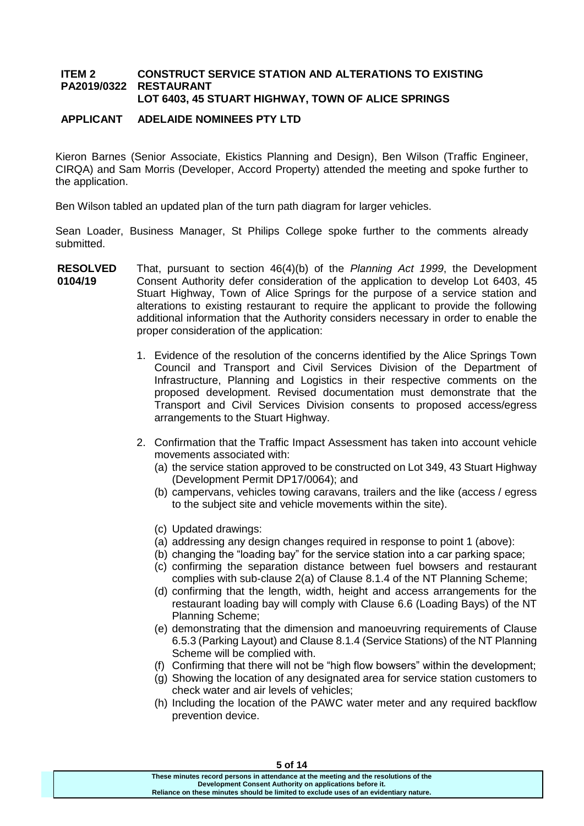#### **ITEM 2 PA2019/0322 CONSTRUCT SERVICE STATION AND ALTERATIONS TO EXISTING RESTAURANT LOT 6403, 45 STUART HIGHWAY, TOWN OF ALICE SPRINGS**

# **APPLICANT ADELAIDE NOMINEES PTY LTD**

Kieron Barnes (Senior Associate, Ekistics Planning and Design), Ben Wilson (Traffic Engineer, CIRQA) and Sam Morris (Developer, Accord Property) attended the meeting and spoke further to the application.

Ben Wilson tabled an updated plan of the turn path diagram for larger vehicles.

Sean Loader, Business Manager, St Philips College spoke further to the comments already submitted.

- **RESOLVED 0104/19** That, pursuant to section 46(4)(b) of the *Planning Act 1999*, the Development Consent Authority defer consideration of the application to develop Lot 6403, 45 Stuart Highway, Town of Alice Springs for the purpose of a service station and alterations to existing restaurant to require the applicant to provide the following additional information that the Authority considers necessary in order to enable the proper consideration of the application:
	- 1. Evidence of the resolution of the concerns identified by the Alice Springs Town Council and Transport and Civil Services Division of the Department of Infrastructure, Planning and Logistics in their respective comments on the proposed development. Revised documentation must demonstrate that the Transport and Civil Services Division consents to proposed access/egress arrangements to the Stuart Highway.
	- 2. Confirmation that the Traffic Impact Assessment has taken into account vehicle movements associated with:
		- (a) the service station approved to be constructed on Lot 349, 43 Stuart Highway (Development Permit DP17/0064); and
		- (b) campervans, vehicles towing caravans, trailers and the like (access / egress to the subject site and vehicle movements within the site).
		- (c) Updated drawings:
		- (a) addressing any design changes required in response to point 1 (above):
		- (b) changing the "loading bay" for the service station into a car parking space;
		- (c) confirming the separation distance between fuel bowsers and restaurant complies with sub-clause 2(a) of Clause 8.1.4 of the NT Planning Scheme;
		- (d) confirming that the length, width, height and access arrangements for the restaurant loading bay will comply with Clause 6.6 (Loading Bays) of the NT Planning Scheme;
		- (e) demonstrating that the dimension and manoeuvring requirements of Clause 6.5.3 (Parking Layout) and Clause 8.1.4 (Service Stations) of the NT Planning Scheme will be complied with.
		- (f) Confirming that there will not be "high flow bowsers" within the development;
		- (g) Showing the location of any designated area for service station customers to check water and air levels of vehicles;
		- (h) Including the location of the PAWC water meter and any required backflow prevention device.

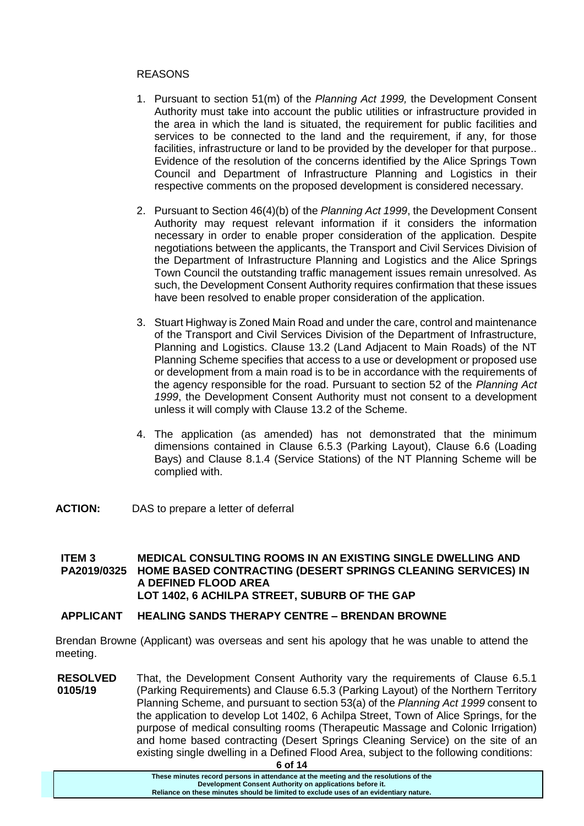### REASONS

- 1. Pursuant to section 51(m) of the *Planning Act 1999,* the Development Consent Authority must take into account the public utilities or infrastructure provided in the area in which the land is situated, the requirement for public facilities and services to be connected to the land and the requirement, if any, for those facilities, infrastructure or land to be provided by the developer for that purpose.. Evidence of the resolution of the concerns identified by the Alice Springs Town Council and Department of Infrastructure Planning and Logistics in their respective comments on the proposed development is considered necessary.
- 2. Pursuant to Section 46(4)(b) of the *Planning Act 1999*, the Development Consent Authority may request relevant information if it considers the information necessary in order to enable proper consideration of the application. Despite negotiations between the applicants, the Transport and Civil Services Division of the Department of Infrastructure Planning and Logistics and the Alice Springs Town Council the outstanding traffic management issues remain unresolved. As such, the Development Consent Authority requires confirmation that these issues have been resolved to enable proper consideration of the application.
- 3. Stuart Highway is Zoned Main Road and under the care, control and maintenance of the Transport and Civil Services Division of the Department of Infrastructure, Planning and Logistics. Clause 13.2 (Land Adjacent to Main Roads) of the NT Planning Scheme specifies that access to a use or development or proposed use or development from a main road is to be in accordance with the requirements of the agency responsible for the road. Pursuant to section 52 of the *Planning Act 1999*, the Development Consent Authority must not consent to a development unless it will comply with Clause 13.2 of the Scheme.
- 4. The application (as amended) has not demonstrated that the minimum dimensions contained in Clause 6.5.3 (Parking Layout), Clause 6.6 (Loading Bays) and Clause 8.1.4 (Service Stations) of the NT Planning Scheme will be complied with.
- **ACTION:** DAS to prepare a letter of deferral

#### **ITEM 3 PA2019/0325 MEDICAL CONSULTING ROOMS IN AN EXISTING SINGLE DWELLING AND HOME BASED CONTRACTING (DESERT SPRINGS CLEANING SERVICES) IN A DEFINED FLOOD AREA LOT 1402, 6 ACHILPA STREET, SUBURB OF THE GAP**

# **APPLICANT HEALING SANDS THERAPY CENTRE – BRENDAN BROWNE**

Brendan Browne (Applicant) was overseas and sent his apology that he was unable to attend the meeting.

**RESOLVED 0105/19** That, the Development Consent Authority vary the requirements of Clause 6.5.1 (Parking Requirements) and Clause 6.5.3 (Parking Layout) of the Northern Territory Planning Scheme, and pursuant to section 53(a) of the *Planning Act 1999* consent to the application to develop Lot 1402, 6 Achilpa Street, Town of Alice Springs, for the purpose of medical consulting rooms (Therapeutic Massage and Colonic Irrigation) and home based contracting (Desert Springs Cleaning Service) on the site of an existing single dwelling in a Defined Flood Area, subject to the following conditions: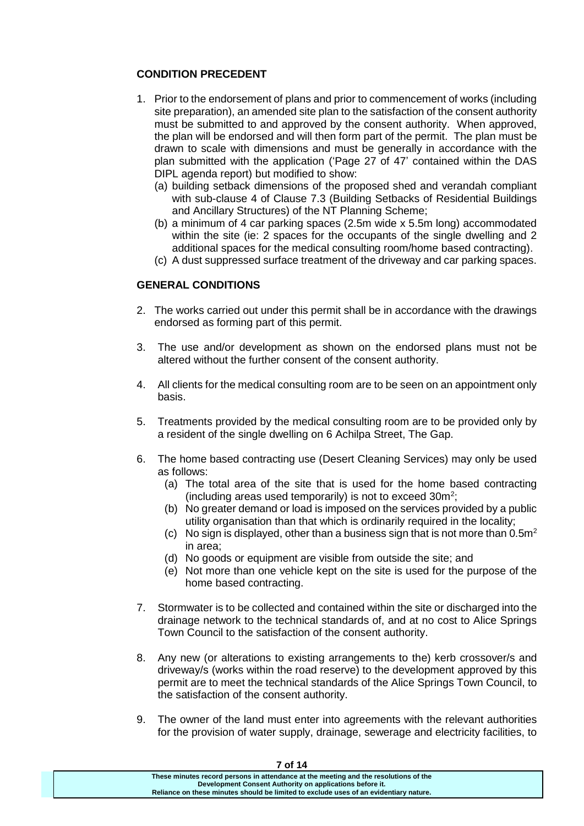# **CONDITION PRECEDENT**

- 1. Prior to the endorsement of plans and prior to commencement of works (including site preparation), an amended site plan to the satisfaction of the consent authority must be submitted to and approved by the consent authority. When approved, the plan will be endorsed and will then form part of the permit. The plan must be drawn to scale with dimensions and must be generally in accordance with the plan submitted with the application ('Page 27 of 47' contained within the DAS DIPL agenda report) but modified to show:
	- (a) building setback dimensions of the proposed shed and verandah compliant with sub-clause 4 of Clause 7.3 (Building Setbacks of Residential Buildings and Ancillary Structures) of the NT Planning Scheme;
	- (b) a minimum of 4 car parking spaces (2.5m wide x 5.5m long) accommodated within the site (ie: 2 spaces for the occupants of the single dwelling and 2 additional spaces for the medical consulting room/home based contracting).
	- (c) A dust suppressed surface treatment of the driveway and car parking spaces.

# **GENERAL CONDITIONS**

- 2. The works carried out under this permit shall be in accordance with the drawings endorsed as forming part of this permit.
- 3. The use and/or development as shown on the endorsed plans must not be altered without the further consent of the consent authority.
- 4. All clients for the medical consulting room are to be seen on an appointment only basis.
- 5. Treatments provided by the medical consulting room are to be provided only by a resident of the single dwelling on 6 Achilpa Street, The Gap.
- 6. The home based contracting use (Desert Cleaning Services) may only be used as follows:
	- (a) The total area of the site that is used for the home based contracting (including areas used temporarily) is not to exceed  $30m^2$ ;
	- (b) No greater demand or load is imposed on the services provided by a public utility organisation than that which is ordinarily required in the locality;
	- (c) No sign is displayed, other than a business sign that is not more than  $0.5m<sup>2</sup>$ in area;
	- (d) No goods or equipment are visible from outside the site; and
	- (e) Not more than one vehicle kept on the site is used for the purpose of the home based contracting.
- 7. Stormwater is to be collected and contained within the site or discharged into the drainage network to the technical standards of, and at no cost to Alice Springs Town Council to the satisfaction of the consent authority.
- 8. Any new (or alterations to existing arrangements to the) kerb crossover/s and driveway/s (works within the road reserve) to the development approved by this permit are to meet the technical standards of the Alice Springs Town Council, to the satisfaction of the consent authority.
- 9. The owner of the land must enter into agreements with the relevant authorities for the provision of water supply, drainage, sewerage and electricity facilities, to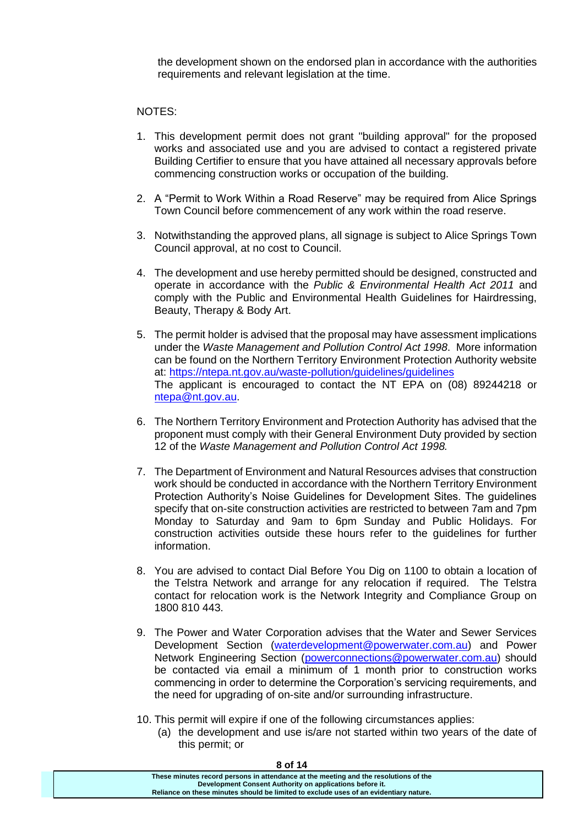the development shown on the endorsed plan in accordance with the authorities requirements and relevant legislation at the time.

### NOTES:

- 1. This development permit does not grant "building approval" for the proposed works and associated use and you are advised to contact a registered private Building Certifier to ensure that you have attained all necessary approvals before commencing construction works or occupation of the building.
- 2. A "Permit to Work Within a Road Reserve" may be required from Alice Springs Town Council before commencement of any work within the road reserve.
- 3. Notwithstanding the approved plans, all signage is subject to Alice Springs Town Council approval, at no cost to Council.
- 4. The development and use hereby permitted should be designed, constructed and operate in accordance with the *Public & Environmental Health Act 2011* and comply with the Public and Environmental Health Guidelines for Hairdressing, Beauty, Therapy & Body Art.
- 5. The permit holder is advised that the proposal may have assessment implications under the *Waste Management and Pollution Control Act 1998*. More information can be found on the Northern Territory Environment Protection Authority website at:<https://ntepa.nt.gov.au/waste-pollution/guidelines/guidelines> The applicant is encouraged to contact the NT EPA on (08) 89244218 or [ntepa@nt.gov.au.](mailto:ntepa@nt.gov.au)
- 6. The Northern Territory Environment and Protection Authority has advised that the proponent must comply with their General Environment Duty provided by section 12 of the *Waste Management and Pollution Control Act 1998.*
- 7. The Department of Environment and Natural Resources advises that construction work should be conducted in accordance with the Northern Territory Environment Protection Authority's Noise Guidelines for Development Sites. The guidelines specify that on-site construction activities are restricted to between 7am and 7pm Monday to Saturday and 9am to 6pm Sunday and Public Holidays. For construction activities outside these hours refer to the guidelines for further information.
- 8. You are advised to contact Dial Before You Dig on 1100 to obtain a location of the Telstra Network and arrange for any relocation if required. The Telstra contact for relocation work is the Network Integrity and Compliance Group on 1800 810 443.
- 9. The Power and Water Corporation advises that the Water and Sewer Services Development Section [\(waterdevelopment@powerwater.com.au\)](mailto:waterdevelopment@powerwater.com.au) and Power Network Engineering Section [\(powerconnections@powerwater.com.au\)](mailto:powerconnections@powerwater.com.au) should be contacted via email a minimum of 1 month prior to construction works commencing in order to determine the Corporation's servicing requirements, and the need for upgrading of on-site and/or surrounding infrastructure.
- 10. This permit will expire if one of the following circumstances applies:
	- (a) the development and use is/are not started within two years of the date of this permit; or

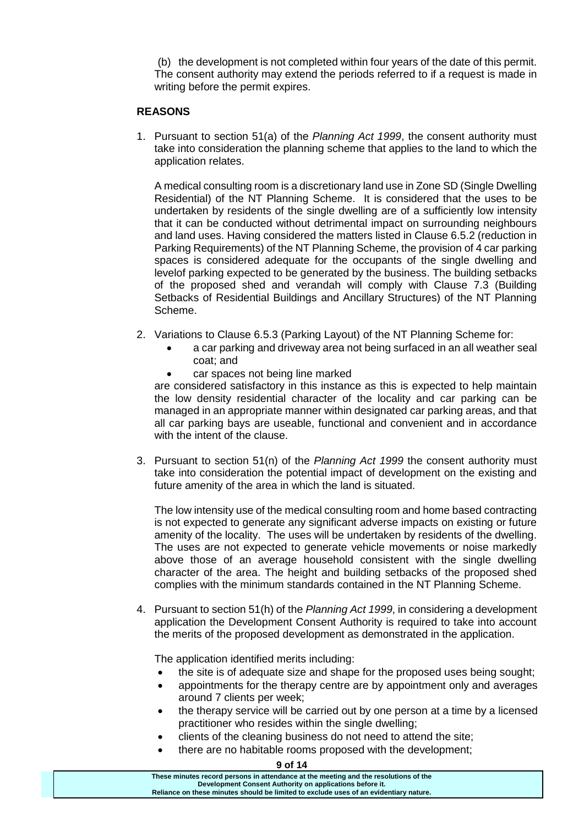(b) the development is not completed within four years of the date of this permit. The consent authority may extend the periods referred to if a request is made in writing before the permit expires.

### **REASONS**

1. Pursuant to section 51(a) of the *Planning Act 1999*, the consent authority must take into consideration the planning scheme that applies to the land to which the application relates.

A medical consulting room is a discretionary land use in Zone SD (Single Dwelling Residential) of the NT Planning Scheme. It is considered that the uses to be undertaken by residents of the single dwelling are of a sufficiently low intensity that it can be conducted without detrimental impact on surrounding neighbours and land uses. Having considered the matters listed in Clause 6.5.2 (reduction in Parking Requirements) of the NT Planning Scheme, the provision of 4 car parking spaces is considered adequate for the occupants of the single dwelling and levelof parking expected to be generated by the business. The building setbacks of the proposed shed and verandah will comply with Clause 7.3 (Building Setbacks of Residential Buildings and Ancillary Structures) of the NT Planning Scheme.

- 2. Variations to Clause 6.5.3 (Parking Layout) of the NT Planning Scheme for:
	- a car parking and driveway area not being surfaced in an all weather seal coat; and
	- car spaces not being line marked

are considered satisfactory in this instance as this is expected to help maintain the low density residential character of the locality and car parking can be managed in an appropriate manner within designated car parking areas, and that all car parking bays are useable, functional and convenient and in accordance with the intent of the clause.

3. Pursuant to section 51(n) of the *Planning Act 1999* the consent authority must take into consideration the potential impact of development on the existing and future amenity of the area in which the land is situated.

The low intensity use of the medical consulting room and home based contracting is not expected to generate any significant adverse impacts on existing or future amenity of the locality. The uses will be undertaken by residents of the dwelling. The uses are not expected to generate vehicle movements or noise markedly above those of an average household consistent with the single dwelling character of the area. The height and building setbacks of the proposed shed complies with the minimum standards contained in the NT Planning Scheme.

4. Pursuant to section 51(h) of the *Planning Act 1999*, in considering a development application the Development Consent Authority is required to take into account the merits of the proposed development as demonstrated in the application.

The application identified merits including:

- the site is of adequate size and shape for the proposed uses being sought;
- appointments for the therapy centre are by appointment only and averages around 7 clients per week;
- the therapy service will be carried out by one person at a time by a licensed practitioner who resides within the single dwelling;
- clients of the cleaning business do not need to attend the site;
- there are no habitable rooms proposed with the development;

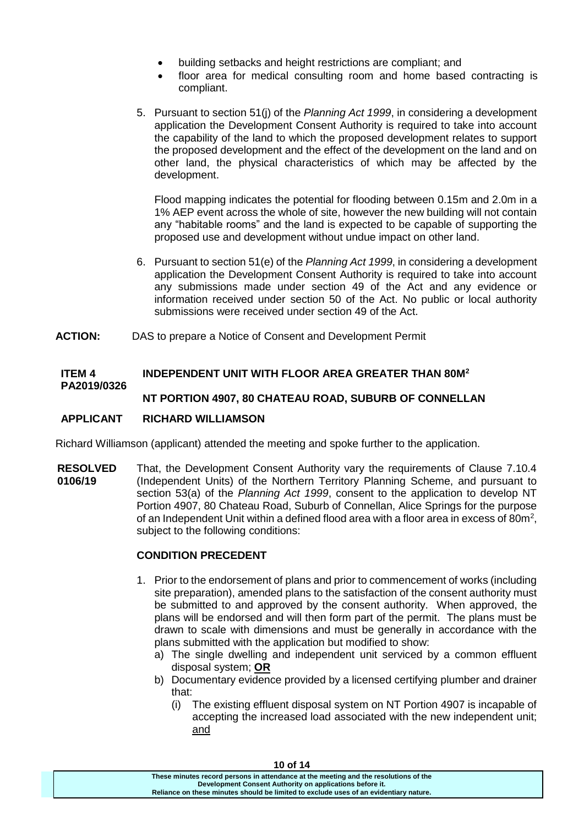- building setbacks and height restrictions are compliant; and
- floor area for medical consulting room and home based contracting is compliant.
- 5. Pursuant to section 51(j) of the *Planning Act 1999*, in considering a development application the Development Consent Authority is required to take into account the capability of the land to which the proposed development relates to support the proposed development and the effect of the development on the land and on other land, the physical characteristics of which may be affected by the development.

Flood mapping indicates the potential for flooding between 0.15m and 2.0m in a 1% AEP event across the whole of site, however the new building will not contain any "habitable rooms" and the land is expected to be capable of supporting the proposed use and development without undue impact on other land.

- 6. Pursuant to section 51(e) of the *Planning Act 1999*, in considering a development application the Development Consent Authority is required to take into account any submissions made under section 49 of the Act and any evidence or information received under section 50 of the Act. No public or local authority submissions were received under section 49 of the Act.
- **ACTION:** DAS to prepare a Notice of Consent and Development Permit

#### **ITEM 4 PA2019/0326 INDEPENDENT UNIT WITH FLOOR AREA GREATER THAN 80M<sup>2</sup> NT PORTION 4907, 80 CHATEAU ROAD, SUBURB OF CONNELLAN**

# **APPLICANT RICHARD WILLIAMSON**

Richard Williamson (applicant) attended the meeting and spoke further to the application.

**RESOLVED 0106/19** That, the Development Consent Authority vary the requirements of Clause 7.10.4 (Independent Units) of the Northern Territory Planning Scheme, and pursuant to section 53(a) of the *Planning Act 1999*, consent to the application to develop NT Portion 4907, 80 Chateau Road, Suburb of Connellan, Alice Springs for the purpose of an Independent Unit within a defined flood area with a floor area in excess of 80 $m<sup>2</sup>$ , subject to the following conditions:

# **CONDITION PRECEDENT**

- 1. Prior to the endorsement of plans and prior to commencement of works (including site preparation), amended plans to the satisfaction of the consent authority must be submitted to and approved by the consent authority. When approved, the plans will be endorsed and will then form part of the permit. The plans must be drawn to scale with dimensions and must be generally in accordance with the plans submitted with the application but modified to show:
	- a) The single dwelling and independent unit serviced by a common effluent disposal system; **OR**
	- b) Documentary evidence provided by a licensed certifying plumber and drainer that:
		- (i) The existing effluent disposal system on NT Portion 4907 is incapable of accepting the increased load associated with the new independent unit; and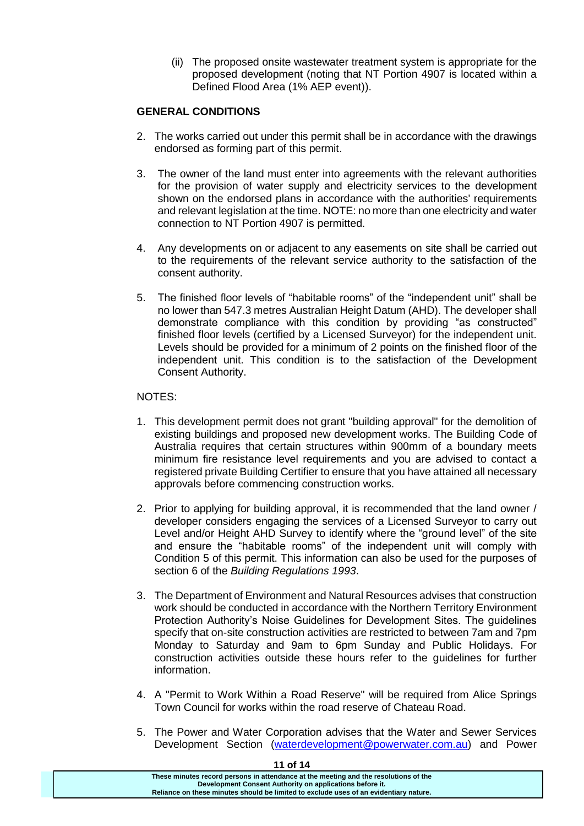(ii) The proposed onsite wastewater treatment system is appropriate for the proposed development (noting that NT Portion 4907 is located within a Defined Flood Area (1% AEP event)).

# **GENERAL CONDITIONS**

- 2. The works carried out under this permit shall be in accordance with the drawings endorsed as forming part of this permit.
- 3. The owner of the land must enter into agreements with the relevant authorities for the provision of water supply and electricity services to the development shown on the endorsed plans in accordance with the authorities' requirements and relevant legislation at the time. NOTE: no more than one electricity and water connection to NT Portion 4907 is permitted.
- 4. Any developments on or adjacent to any easements on site shall be carried out to the requirements of the relevant service authority to the satisfaction of the consent authority.
- 5. The finished floor levels of "habitable rooms" of the "independent unit" shall be no lower than 547.3 metres Australian Height Datum (AHD). The developer shall demonstrate compliance with this condition by providing "as constructed" finished floor levels (certified by a Licensed Surveyor) for the independent unit. Levels should be provided for a minimum of 2 points on the finished floor of the independent unit. This condition is to the satisfaction of the Development Consent Authority.

# NOTES:

- 1. This development permit does not grant "building approval" for the demolition of existing buildings and proposed new development works. The Building Code of Australia requires that certain structures within 900mm of a boundary meets minimum fire resistance level requirements and you are advised to contact a registered private Building Certifier to ensure that you have attained all necessary approvals before commencing construction works.
- 2. Prior to applying for building approval, it is recommended that the land owner / developer considers engaging the services of a Licensed Surveyor to carry out Level and/or Height AHD Survey to identify where the "ground level" of the site and ensure the "habitable rooms" of the independent unit will comply with Condition 5 of this permit. This information can also be used for the purposes of section 6 of the *Building Regulations 1993*.
- 3. The Department of Environment and Natural Resources advises that construction work should be conducted in accordance with the Northern Territory Environment Protection Authority's Noise Guidelines for Development Sites. The guidelines specify that on-site construction activities are restricted to between 7am and 7pm Monday to Saturday and 9am to 6pm Sunday and Public Holidays. For construction activities outside these hours refer to the guidelines for further information.
- 4. A "Permit to Work Within a Road Reserve" will be required from Alice Springs Town Council for works within the road reserve of Chateau Road.
- 5. The Power and Water Corporation advises that the Water and Sewer Services Development Section [\(waterdevelopment@powerwater.com.au\)](mailto:waterdevelopment@powerwater.com.au) and Power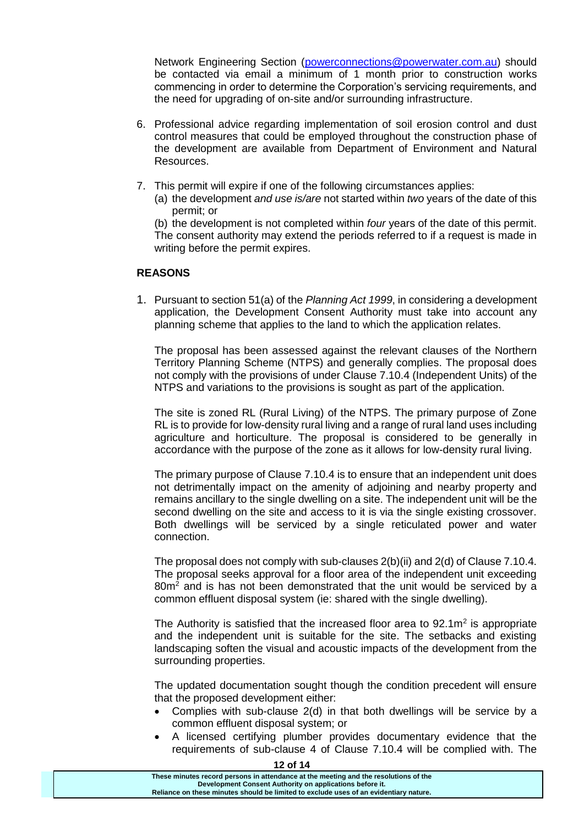Network Engineering Section [\(powerconnections@powerwater.com.au\)](mailto:powerconnections@powerwater.com.au) should be contacted via email a minimum of 1 month prior to construction works commencing in order to determine the Corporation's servicing requirements, and the need for upgrading of on-site and/or surrounding infrastructure.

- 6. Professional advice regarding implementation of soil erosion control and dust control measures that could be employed throughout the construction phase of the development are available from Department of Environment and Natural Resources.
- 7. This permit will expire if one of the following circumstances applies:
	- (a) the development *and use is/are* not started within *two* years of the date of this permit; or

(b) the development is not completed within *four* years of the date of this permit. The consent authority may extend the periods referred to if a request is made in writing before the permit expires.

# **REASONS**

1. Pursuant to section 51(a) of the *Planning Act 1999*, in considering a development application, the Development Consent Authority must take into account any planning scheme that applies to the land to which the application relates.

The proposal has been assessed against the relevant clauses of the Northern Territory Planning Scheme (NTPS) and generally complies. The proposal does not comply with the provisions of under Clause 7.10.4 (Independent Units) of the NTPS and variations to the provisions is sought as part of the application.

The site is zoned RL (Rural Living) of the NTPS. The primary purpose of Zone RL is to provide for low-density rural living and a range of rural land uses including agriculture and horticulture. The proposal is considered to be generally in accordance with the purpose of the zone as it allows for low-density rural living.

The primary purpose of Clause 7.10.4 is to ensure that an independent unit does not detrimentally impact on the amenity of adjoining and nearby property and remains ancillary to the single dwelling on a site. The independent unit will be the second dwelling on the site and access to it is via the single existing crossover. Both dwellings will be serviced by a single reticulated power and water connection.

The proposal does not comply with sub-clauses 2(b)(ii) and 2(d) of Clause 7.10.4. The proposal seeks approval for a floor area of the independent unit exceeding  $80m<sup>2</sup>$  and is has not been demonstrated that the unit would be serviced by a common effluent disposal system (ie: shared with the single dwelling).

The Authority is satisfied that the increased floor area to  $92.1\,\mathrm{m}^2$  is appropriate and the independent unit is suitable for the site. The setbacks and existing landscaping soften the visual and acoustic impacts of the development from the surrounding properties.

The updated documentation sought though the condition precedent will ensure that the proposed development either:

- Complies with sub-clause 2(d) in that both dwellings will be service by a common effluent disposal system; or
- A licensed certifying plumber provides documentary evidence that the requirements of sub-clause 4 of Clause 7.10.4 will be complied with. The

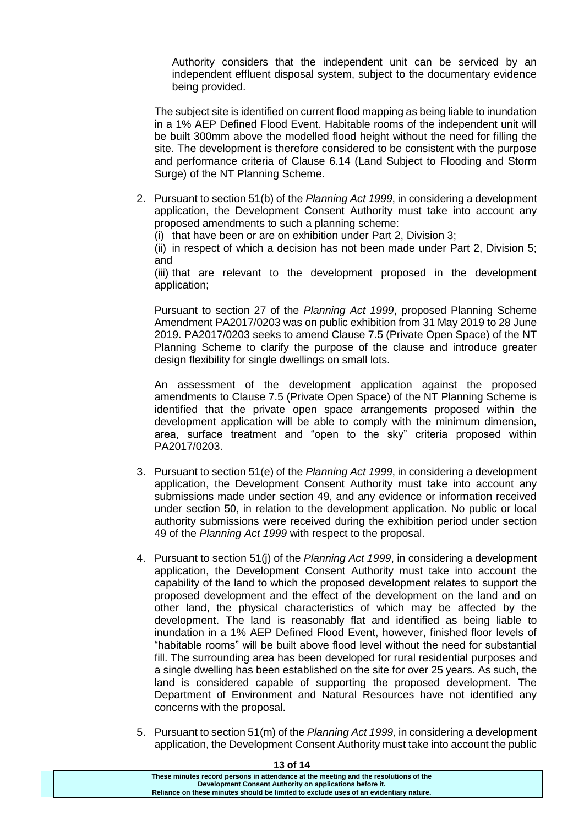Authority considers that the independent unit can be serviced by an independent effluent disposal system, subject to the documentary evidence being provided.

The subject site is identified on current flood mapping as being liable to inundation in a 1% AEP Defined Flood Event. Habitable rooms of the independent unit will be built 300mm above the modelled flood height without the need for filling the site. The development is therefore considered to be consistent with the purpose and performance criteria of Clause 6.14 (Land Subject to Flooding and Storm Surge) of the NT Planning Scheme.

2. Pursuant to section 51(b) of the *Planning Act 1999*, in considering a development application, the Development Consent Authority must take into account any proposed amendments to such a planning scheme:

(i) that have been or are on exhibition under Part 2, Division 3;

(ii) in respect of which a decision has not been made under Part 2, Division 5; and

(iii) that are relevant to the development proposed in the development application;

Pursuant to section 27 of the *Planning Act 1999*, proposed Planning Scheme Amendment PA2017/0203 was on public exhibition from 31 May 2019 to 28 June 2019. PA2017/0203 seeks to amend Clause 7.5 (Private Open Space) of the NT Planning Scheme to clarify the purpose of the clause and introduce greater design flexibility for single dwellings on small lots.

An assessment of the development application against the proposed amendments to Clause 7.5 (Private Open Space) of the NT Planning Scheme is identified that the private open space arrangements proposed within the development application will be able to comply with the minimum dimension, area, surface treatment and "open to the sky" criteria proposed within PA2017/0203.

- 3. Pursuant to section 51(e) of the *Planning Act 1999*, in considering a development application, the Development Consent Authority must take into account any submissions made under section 49, and any evidence or information received under section 50, in relation to the development application. No public or local authority submissions were received during the exhibition period under section 49 of the *Planning Act 1999* with respect to the proposal.
- 4. Pursuant to section 51(j) of the *Planning Act 1999*, in considering a development application, the Development Consent Authority must take into account the capability of the land to which the proposed development relates to support the proposed development and the effect of the development on the land and on other land, the physical characteristics of which may be affected by the development. The land is reasonably flat and identified as being liable to inundation in a 1% AEP Defined Flood Event, however, finished floor levels of "habitable rooms" will be built above flood level without the need for substantial fill. The surrounding area has been developed for rural residential purposes and a single dwelling has been established on the site for over 25 years. As such, the land is considered capable of supporting the proposed development. The Department of Environment and Natural Resources have not identified any concerns with the proposal.
- 5. Pursuant to section 51(m) of the *Planning Act 1999*, in considering a development application, the Development Consent Authority must take into account the public